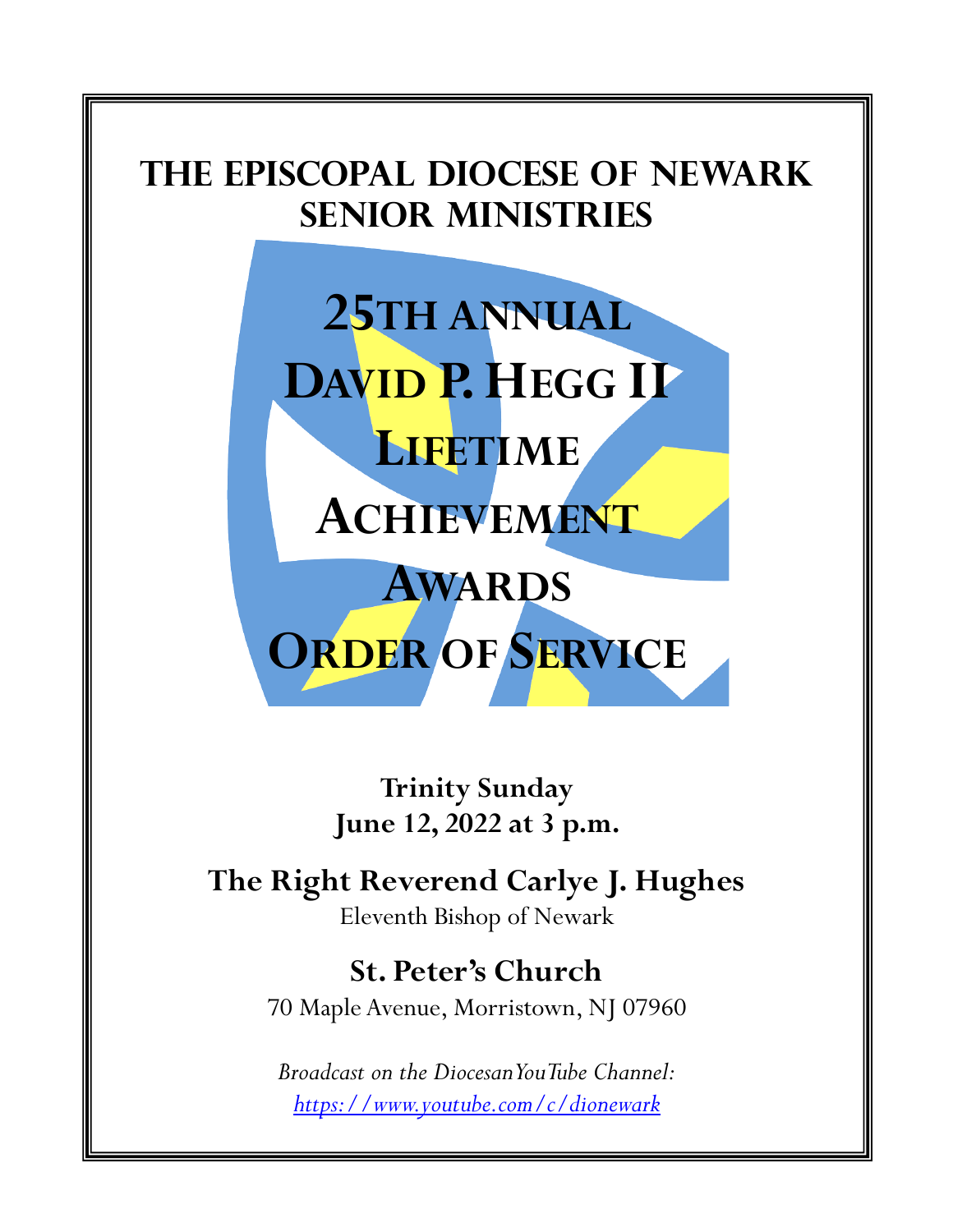

**Trinity Sunday June 12, 2022 at 3 p.m.**

**The Right Reverend Carlye J. Hughes** Eleventh Bishop of Newark

> **St. Peter's Church** 70 Maple Avenue, Morristown, NJ 07960

*Broadcast on the Diocesan YouTube Channel: [https://www.youtube.com/c/dionewark](about:blank)*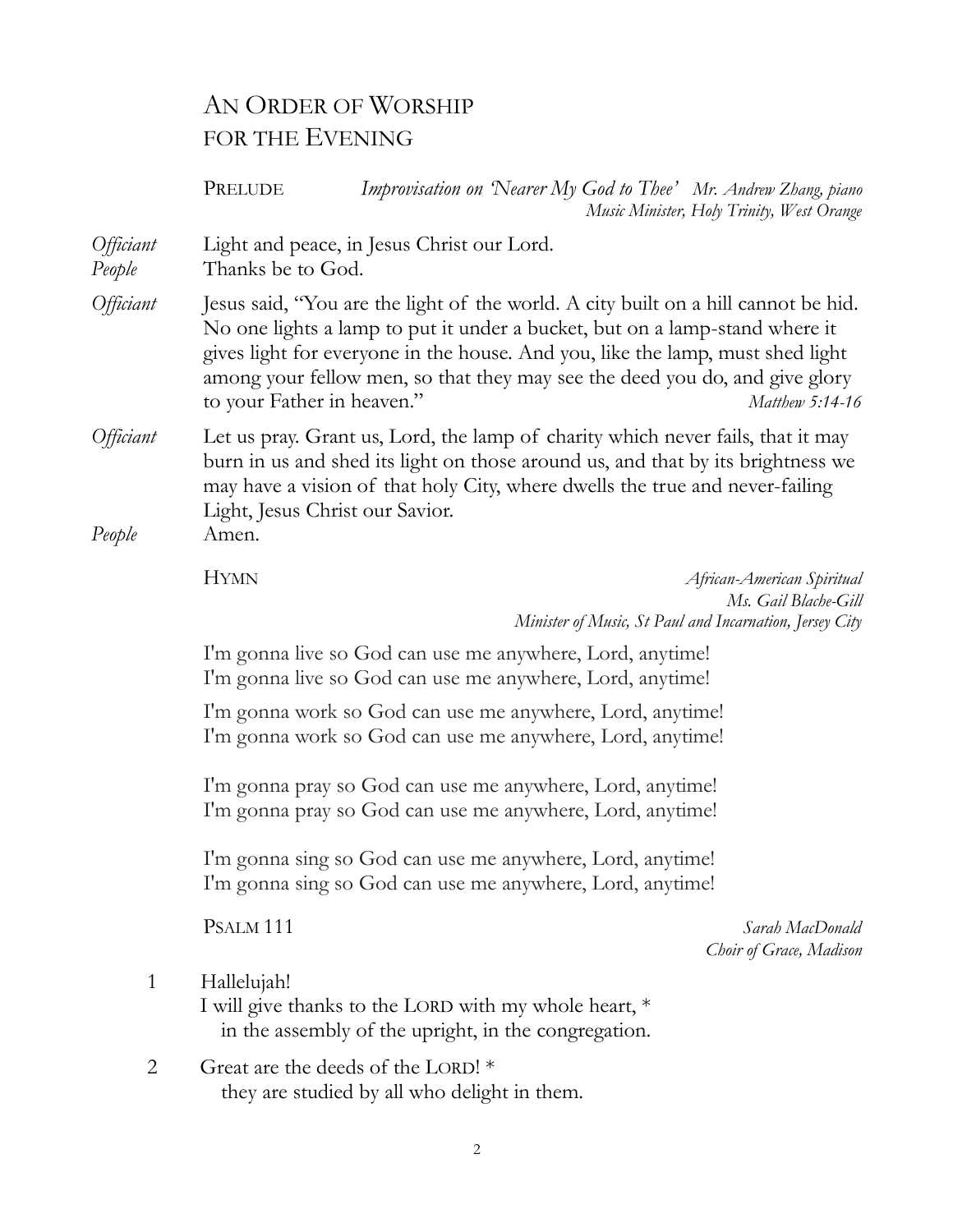# AN ORDER OF WORSHIP FOR THE EVENING

PRELUDE *Improvisation on 'Nearer My God to Thee' Mr. Andrew Zhang, piano Music Minister, Holy Trinity, West Orange Officiant* Light and peace, in Jesus Christ our Lord. *People* Thanks be to God. *Officiant* Jesus said, "You are the light of the world. A city built on a hill cannot be hid. No one lights a lamp to put it under a bucket, but on a lamp-stand where it gives light for everyone in the house. And you, like the lamp, must shed light among your fellow men, so that they may see the deed you do, and give glory to your Father in heaven." *Matthew 5:14-16 Officiant* Let us pray. Grant us, Lord, the lamp of charity which never fails, that it may burn in us and shed its light on those around us, and that by its brightness we may have a vision of that holy City, where dwells the true and never-failing Light, Jesus Christ our Savior. *People* Amen. HYMN *African-American Spiritual Ms. Gail Blache-Gill Minister of Music, St Paul and Incarnation, Jersey City* I'm gonna live so God can use me anywhere, Lord, anytime! I'm gonna live so God can use me anywhere, Lord, anytime! I'm gonna work so God can use me anywhere, Lord, anytime! I'm gonna work so God can use me anywhere, Lord, anytime! I'm gonna pray so God can use me anywhere, Lord, anytime! I'm gonna pray so God can use me anywhere, Lord, anytime! I'm gonna sing so God can use me anywhere, Lord, anytime! I'm gonna sing so God can use me anywhere, Lord, anytime! PSALM 111 *Sarah MacDonald Choir of Grace, Madison* 1 Hallelujah! I will give thanks to the LORD with my whole heart, \* in the assembly of the upright, in the congregation. 2 Great are the deeds of the LORD! \* they are studied by all who delight in them.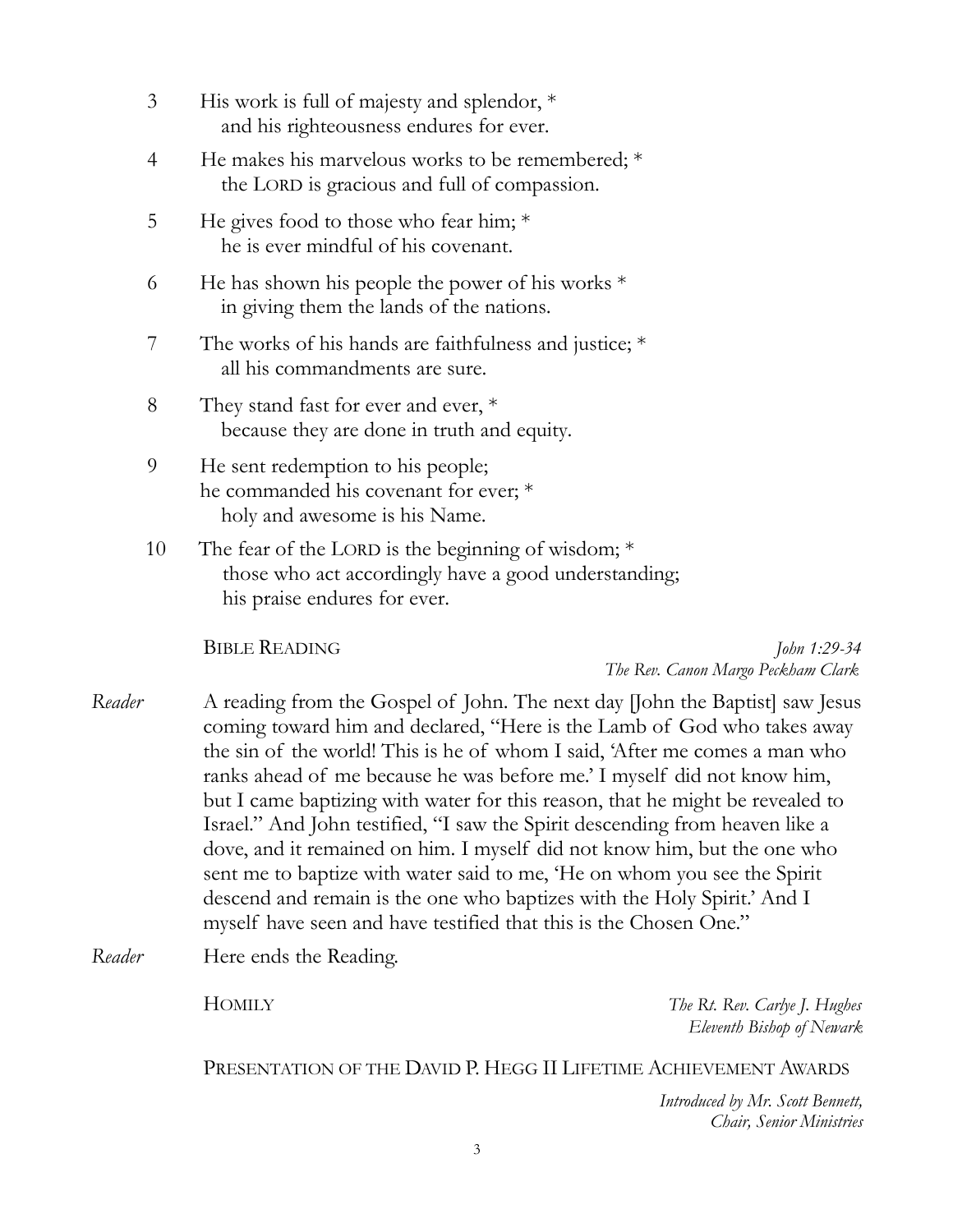| $\mathfrak{Z}$ | His work is full of majesty and splendor, $*$<br>and his righteousness endures for ever.                                                                                                                                                                                                                                                                                                                                                                                                                                                                                                                                                |              |  |
|----------------|-----------------------------------------------------------------------------------------------------------------------------------------------------------------------------------------------------------------------------------------------------------------------------------------------------------------------------------------------------------------------------------------------------------------------------------------------------------------------------------------------------------------------------------------------------------------------------------------------------------------------------------------|--------------|--|
| 4              | He makes his marvelous works to be remembered; $*$<br>the LORD is gracious and full of compassion.                                                                                                                                                                                                                                                                                                                                                                                                                                                                                                                                      |              |  |
| 5              | He gives food to those who fear him; $*$<br>he is ever mindful of his covenant.                                                                                                                                                                                                                                                                                                                                                                                                                                                                                                                                                         |              |  |
| 6              | He has shown his people the power of his works $*$<br>in giving them the lands of the nations.                                                                                                                                                                                                                                                                                                                                                                                                                                                                                                                                          |              |  |
| 7              | The works of his hands are faithfulness and justice; $*$<br>all his commandments are sure.                                                                                                                                                                                                                                                                                                                                                                                                                                                                                                                                              |              |  |
| 8              | They stand fast for ever and ever, *<br>because they are done in truth and equity.                                                                                                                                                                                                                                                                                                                                                                                                                                                                                                                                                      |              |  |
| 9              | He sent redemption to his people;<br>he commanded his covenant for ever; *<br>holy and awesome is his Name.                                                                                                                                                                                                                                                                                                                                                                                                                                                                                                                             |              |  |
| 10             | The fear of the LORD is the beginning of wisdom; $*$<br>those who act accordingly have a good understanding;<br>his praise endures for ever.                                                                                                                                                                                                                                                                                                                                                                                                                                                                                            |              |  |
|                | <b>BIBLE READING</b><br>The Rev. Canon Margo Peckham Clark                                                                                                                                                                                                                                                                                                                                                                                                                                                                                                                                                                              | John 1:29-34 |  |
| Reader         | A reading from the Gospel of John. The next day John the Baptist saw Jesus<br>coming toward him and declared, "Here is the Lamb of God who takes away<br>the sin of the world! This is he of whom I said, 'After me comes a man who<br>ranks ahead of me because he was before me.' I myself did not know him,<br>but I came baptizing with water for this reason, that he might be revealed to<br>Israel." And John testified, "I saw the Spirit descending from heaven like a<br>dove, and it remained on him. I myself did not know him, but the one who<br>sent me to baptize with water said to me, 'He on whom you see the Spirit |              |  |

*Reader* Here ends the Reading.

HOMILY *The Rt. Rev. Carlye J. Hughes Eleventh Bishop of Newark*

PRESENTATION OF THE DAVID P. HEGG II LIFETIME ACHIEVEMENT AWARDS

descend and remain is the one who baptizes with the Holy Spirit.' And I

myself have seen and have testified that this is the Chosen One."

*Introduced by Mr. Scott Bennett, Chair, Senior Ministries*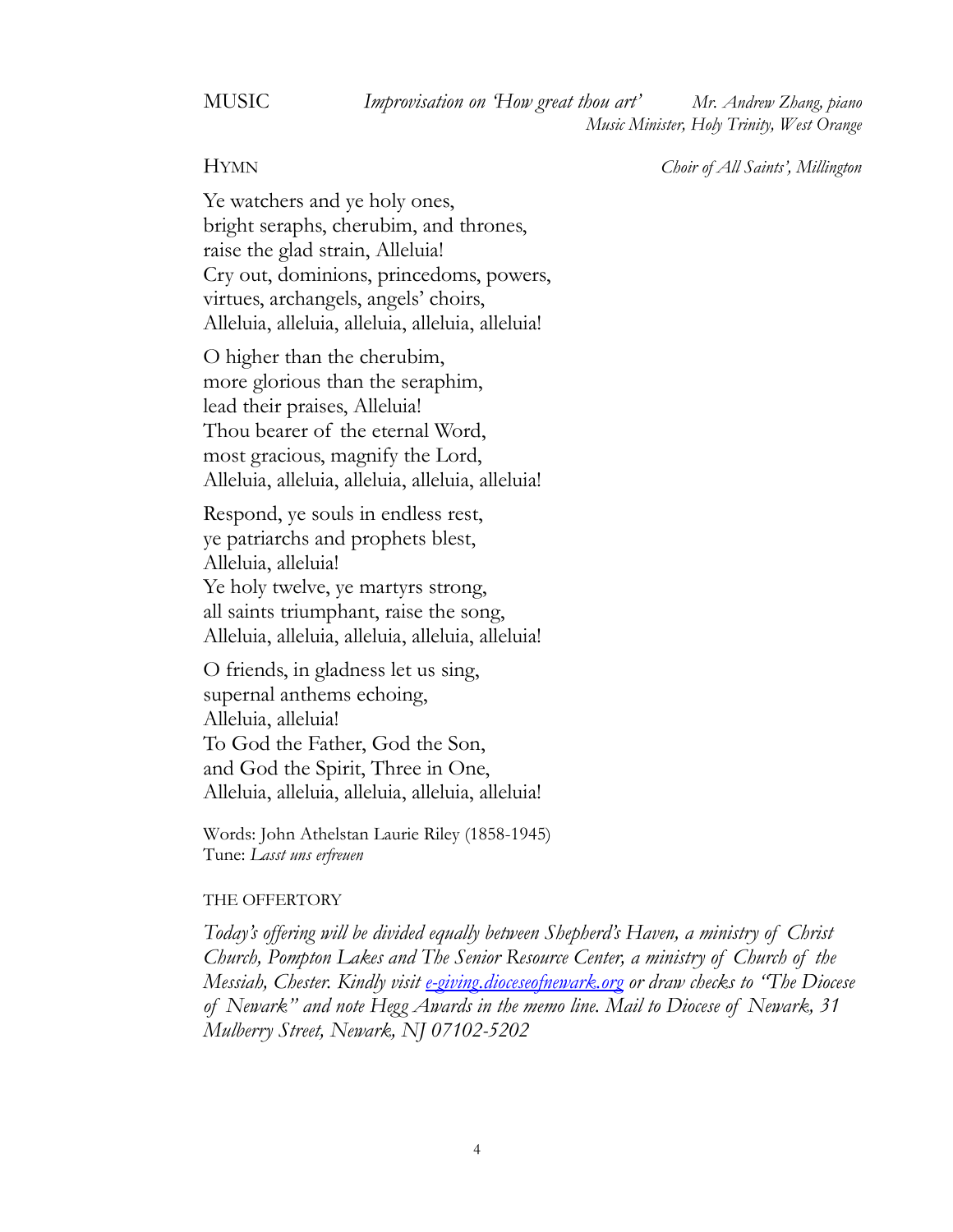MUSIC *Improvisation on 'How great thou art' Mr. Andrew Zhang, piano Music Minister, Holy Trinity, West Orange*

HYMN *Choir of All Saints', Millington*

Ye watchers and ye holy ones, bright seraphs, cherubim, and thrones, raise the glad strain, Alleluia! Cry out, dominions, princedoms, powers, virtues, archangels, angels' choirs, Alleluia, alleluia, alleluia, alleluia, alleluia!

O higher than the cherubim, more glorious than the seraphim, lead their praises, Alleluia! Thou bearer of the eternal Word, most gracious, magnify the Lord, Alleluia, alleluia, alleluia, alleluia, alleluia!

Respond, ye souls in endless rest, ye patriarchs and prophets blest, Alleluia, alleluia! Ye holy twelve, ye martyrs strong, all saints triumphant, raise the song, Alleluia, alleluia, alleluia, alleluia, alleluia!

O friends, in gladness let us sing, supernal anthems echoing, Alleluia, alleluia! To God the Father, God the Son, and God the Spirit, Three in One, Alleluia, alleluia, alleluia, alleluia, alleluia!

Words: John Athelstan Laurie Riley (1858-1945) Tune: *Lasst uns erfreuen*

### THE OFFERTORY

*Today's offering will be divided equally between Shepherd's Haven, a ministry of Christ Church, Pompton Lakes and The Senior Resource Center, a ministry of Church of the Messiah, Chester. Kindly visit [e-giving.dioceseofnewark.org](about:blank) or draw checks to "The Diocese of Newark" and note Hegg Awards in the memo line. Mail to Diocese of Newark, 31 Mulberry Street, Newark, NJ 07102-5202*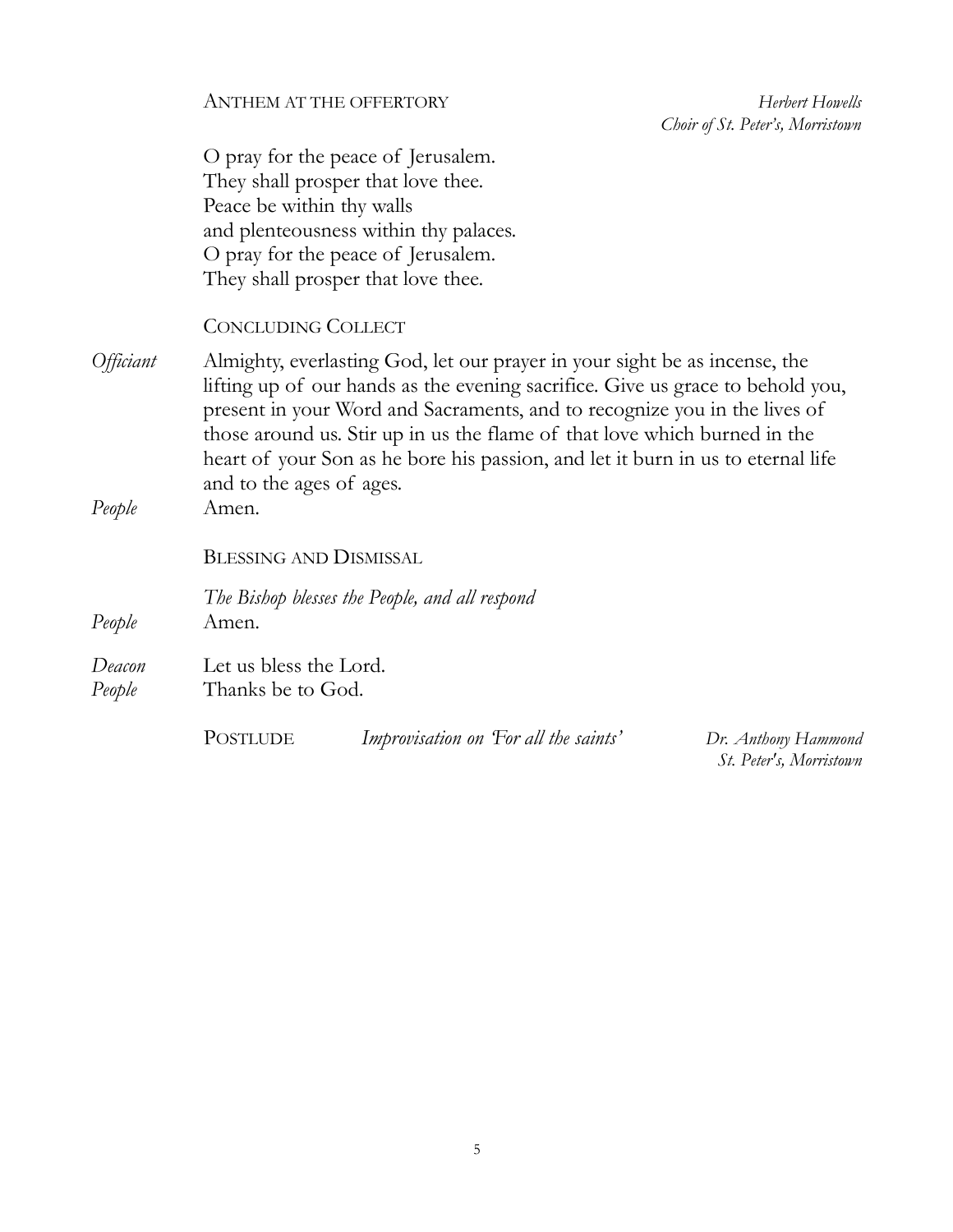Herbert Howells  *Choir of St. Peter's, Morristown*

O pray for the peace of Jerusalem. They shall prosper that love thee. Peace be within thy walls and plenteousness within thy palaces. O pray for the peace of Jerusalem. They shall prosper that love thee.

# CONCLUDING COLLECT

*Officiant* Almighty, everlasting God, let our prayer in your sight be as incense, the lifting up of our hands as the evening sacrifice. Give us grace to behold you, present in your Word and Sacraments, and to recognize you in the lives of those around us. Stir up in us the flame of that love which burned in the heart of your Son as he bore his passion, and let it burn in us to eternal life and to the ages of ages. *People* Amen.

BLESSING AND DISMISSAL

*The Bishop blesses the People, and all respond People* Amen.

*Deacon* Let us bless the Lord. *People* Thanks be to God.

POSTLUDE *Improvisation on 'For all the saints' Dr. Anthony Hammond*

*St. Peter's, Morristown*